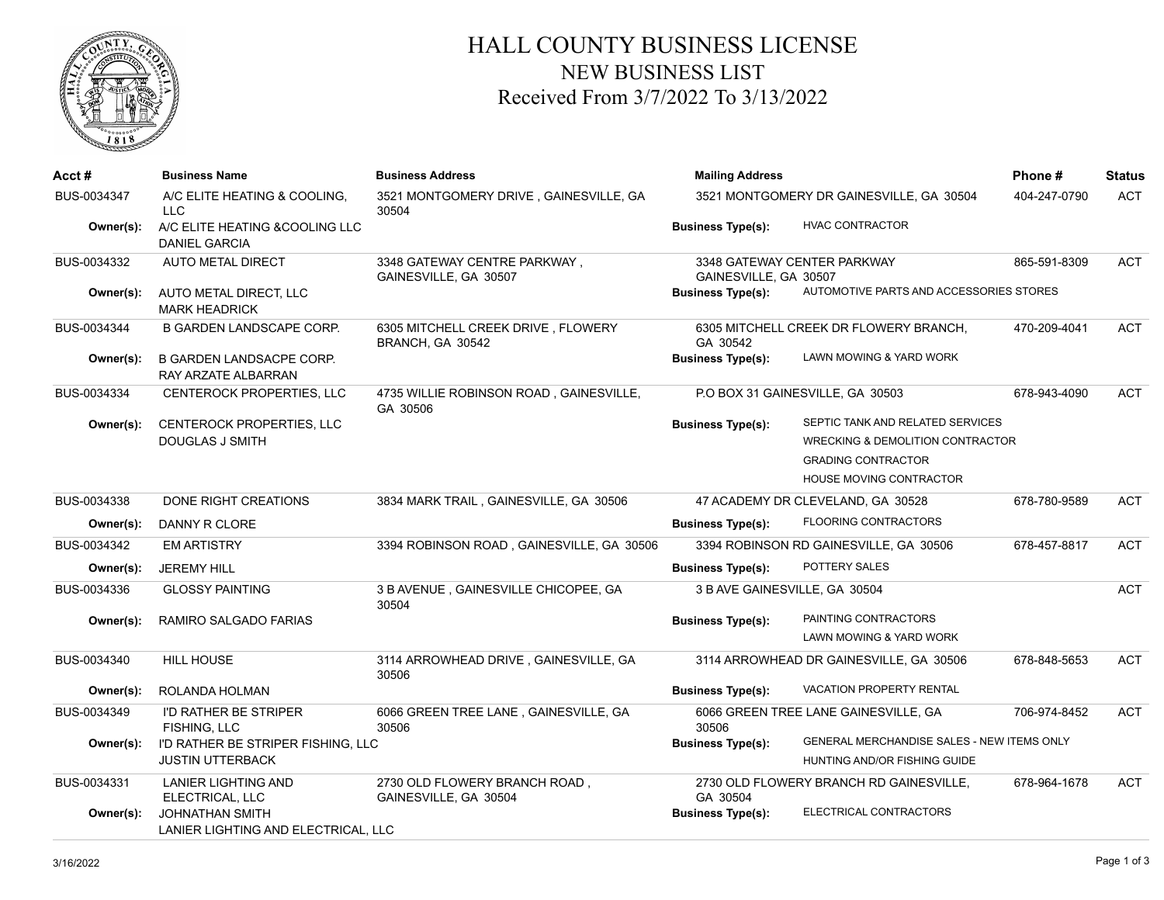

## HALL COUNTY BUSINESS LICENSE NEW BUSINESS LIST Received From 3/7/2022 To 3/13/2022

| $Acct \#$   | <b>Business Name</b>                                          | <b>Business Address</b>                                | <b>Mailing Address</b><br>3521 MONTGOMERY DR GAINESVILLE, GA 30504                                     |                                             | Phone#       | <b>Status</b> |
|-------------|---------------------------------------------------------------|--------------------------------------------------------|--------------------------------------------------------------------------------------------------------|---------------------------------------------|--------------|---------------|
| BUS-0034347 | A/C ELITE HEATING & COOLING.<br>LLC.                          | 3521 MONTGOMERY DRIVE, GAINESVILLE, GA<br>30504        |                                                                                                        |                                             | 404-247-0790 | <b>ACT</b>    |
| Owner(s):   | A/C ELITE HEATING & COOLING LLC<br><b>DANIEL GARCIA</b>       |                                                        | <b>Business Type(s):</b>                                                                               | <b>HVAC CONTRACTOR</b>                      |              |               |
| BUS-0034332 | <b>AUTO METAL DIRECT</b>                                      | 3348 GATEWAY CENTRE PARKWAY,<br>GAINESVILLE, GA 30507  | 3348 GATEWAY CENTER PARKWAY<br>GAINESVILLE, GA 30507                                                   |                                             | 865-591-8309 | <b>ACT</b>    |
| Owner(s):   | AUTO METAL DIRECT, LLC<br><b>MARK HEADRICK</b>                |                                                        | AUTOMOTIVE PARTS AND ACCESSORIES STORES<br><b>Business Type(s):</b>                                    |                                             |              |               |
| BUS-0034344 | <b>B GARDEN LANDSCAPE CORP.</b>                               | 6305 MITCHELL CREEK DRIVE, FLOWERY<br>BRANCH, GA 30542 | GA 30542                                                                                               | 6305 MITCHELL CREEK DR FLOWERY BRANCH,      | 470-209-4041 | ACT           |
| Owner(s):   | <b>B GARDEN LANDSACPE CORP.</b><br>RAY ARZATE ALBARRAN        |                                                        | <b>Business Type(s):</b>                                                                               | LAWN MOWING & YARD WORK                     |              |               |
| BUS-0034334 | CENTEROCK PROPERTIES, LLC                                     | 4735 WILLIE ROBINSON ROAD, GAINESVILLE,<br>GA 30506    | P.O BOX 31 GAINESVILLE, GA 30503                                                                       |                                             | 678-943-4090 | <b>ACT</b>    |
| Owner(s):   | CENTEROCK PROPERTIES, LLC                                     |                                                        | <b>Business Type(s):</b>                                                                               | SEPTIC TANK AND RELATED SERVICES            |              |               |
|             | <b>DOUGLAS J SMITH</b>                                        |                                                        |                                                                                                        | <b>WRECKING &amp; DEMOLITION CONTRACTOR</b> |              |               |
|             |                                                               |                                                        |                                                                                                        | <b>GRADING CONTRACTOR</b>                   |              |               |
|             |                                                               |                                                        |                                                                                                        | HOUSE MOVING CONTRACTOR                     |              |               |
| BUS-0034338 | DONE RIGHT CREATIONS                                          | 3834 MARK TRAIL, GAINESVILLE, GA 30506                 |                                                                                                        | 47 ACADEMY DR CLEVELAND, GA 30528           | 678-780-9589 | ACT           |
| Owner(s):   | DANNY R CLORE                                                 |                                                        | <b>Business Type(s):</b>                                                                               | <b>FLOORING CONTRACTORS</b>                 |              |               |
| BUS-0034342 | <b>EM ARTISTRY</b>                                            | 3394 ROBINSON ROAD, GAINESVILLE, GA 30506              |                                                                                                        | 3394 ROBINSON RD GAINESVILLE, GA 30506      | 678-457-8817 | <b>ACT</b>    |
| Owner(s):   | <b>JEREMY HILL</b>                                            |                                                        | <b>Business Type(s):</b>                                                                               | POTTERY SALES                               |              |               |
| BUS-0034336 | <b>GLOSSY PAINTING</b>                                        | 3 B AVENUE, GAINESVILLE CHICOPEE, GA<br>30504          | 3 B AVE GAINESVILLE, GA 30504                                                                          |                                             |              | ACT           |
| Owner(s):   | RAMIRO SALGADO FARIAS                                         |                                                        | <b>Business Type(s):</b>                                                                               | PAINTING CONTRACTORS                        |              |               |
|             |                                                               |                                                        |                                                                                                        | LAWN MOWING & YARD WORK                     |              |               |
| BUS-0034340 | HILL HOUSE                                                    | 3114 ARROWHEAD DRIVE, GAINESVILLE, GA<br>30506         |                                                                                                        | 3114 ARROWHEAD DR GAINESVILLE, GA 30506     | 678-848-5653 | ACT           |
| Owner(s):   | ROLANDA HOLMAN                                                |                                                        | <b>Business Type(s):</b>                                                                               | <b>VACATION PROPERTY RENTAL</b>             |              |               |
| BUS-0034349 | <b>I'D RATHER BE STRIPER</b><br>FISHING, LLC                  | 6066 GREEN TREE LANE, GAINESVILLE, GA<br>30506         | 30506                                                                                                  | 6066 GREEN TREE LANE GAINESVILLE, GA        | 706-974-8452 | ACT           |
| Owner(s):   | I'D RATHER BE STRIPER FISHING, LLC<br><b>JUSTIN UTTERBACK</b> |                                                        | GENERAL MERCHANDISE SALES - NEW ITEMS ONLY<br><b>Business Type(s):</b><br>HUNTING AND/OR FISHING GUIDE |                                             |              |               |
| BUS-0034331 | <b>LANIER LIGHTING AND</b><br>ELECTRICAL, LLC                 | 2730 OLD FLOWERY BRANCH ROAD,<br>GAINESVILLE, GA 30504 | GA 30504                                                                                               | 2730 OLD FLOWERY BRANCH RD GAINESVILLE,     | 678-964-1678 | <b>ACT</b>    |
| Owner(s):   | <b>JOHNATHAN SMITH</b><br>LANIER LIGHTING AND ELECTRICAL, LLC |                                                        | <b>Business Type(s):</b>                                                                               | ELECTRICAL CONTRACTORS                      |              |               |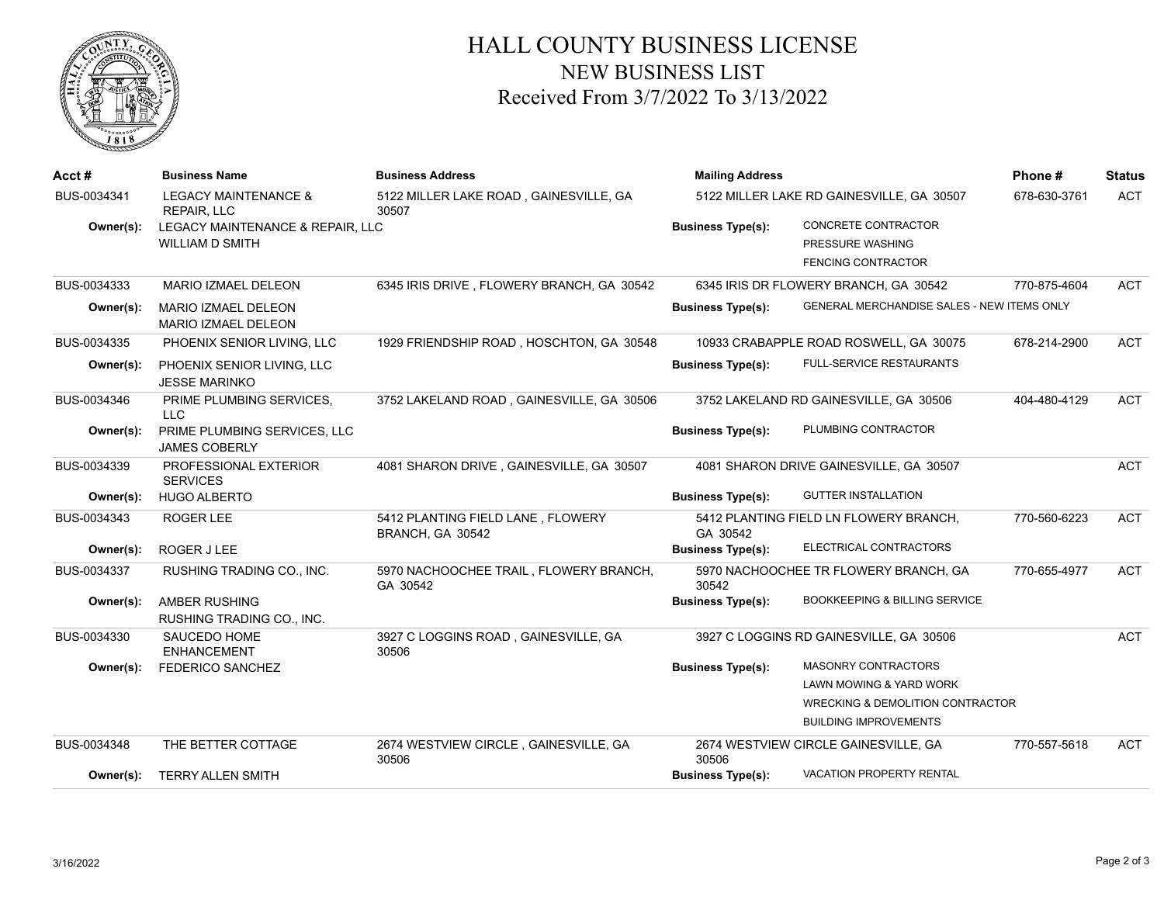

## HALL COUNTY BUSINESS LICENSE NEW BUSINESS LIST Received From 3/7/2022 To 3/13/2022

| Acct#       | <b>Business Name</b>                                       | <b>Business Address</b>                               | <b>Mailing Address</b>                    |                                                                      | Phone#       | <b>Status</b> |
|-------------|------------------------------------------------------------|-------------------------------------------------------|-------------------------------------------|----------------------------------------------------------------------|--------------|---------------|
| BUS-0034341 | <b>LEGACY MAINTENANCE &amp;</b><br><b>REPAIR, LLC</b>      | 5122 MILLER LAKE ROAD, GAINESVILLE, GA<br>30507       | 5122 MILLER LAKE RD GAINESVILLE, GA 30507 |                                                                      | 678-630-3761 | <b>ACT</b>    |
| Owner(s):   | LEGACY MAINTENANCE & REPAIR, LLC<br><b>WILLIAM D SMITH</b> |                                                       | <b>Business Type(s):</b>                  | CONCRETE CONTRACTOR<br>PRESSURE WASHING<br><b>FENCING CONTRACTOR</b> |              |               |
| BUS-0034333 | MARIO IZMAEL DELEON                                        | 6345 IRIS DRIVE, FLOWERY BRANCH, GA 30542             |                                           | 6345 IRIS DR FLOWERY BRANCH, GA 30542                                | 770-875-4604 | <b>ACT</b>    |
| Owner(s):   | <b>MARIO IZMAEL DELEON</b><br><b>MARIO IZMAEL DELEON</b>   |                                                       | <b>Business Type(s):</b>                  | GENERAL MERCHANDISE SALES - NEW ITEMS ONLY                           |              |               |
| BUS-0034335 | PHOENIX SENIOR LIVING, LLC                                 | 1929 FRIENDSHIP ROAD, HOSCHTON, GA 30548              |                                           | 10933 CRABAPPLE ROAD ROSWELL, GA 30075                               | 678-214-2900 | <b>ACT</b>    |
| Owner(s):   | PHOENIX SENIOR LIVING, LLC<br><b>JESSE MARINKO</b>         |                                                       | <b>Business Type(s):</b>                  | <b>FULL-SERVICE RESTAURANTS</b>                                      |              |               |
| BUS-0034346 | PRIME PLUMBING SERVICES,<br><b>LLC</b>                     | 3752 LAKELAND ROAD, GAINESVILLE, GA 30506             |                                           | 3752 LAKELAND RD GAINESVILLE, GA 30506                               | 404-480-4129 | <b>ACT</b>    |
| Owner(s):   | PRIME PLUMBING SERVICES, LLC<br><b>JAMES COBERLY</b>       |                                                       | <b>Business Type(s):</b>                  | PLUMBING CONTRACTOR                                                  |              |               |
| BUS-0034339 | PROFESSIONAL EXTERIOR<br><b>SERVICES</b>                   | 4081 SHARON DRIVE, GAINESVILLE, GA 30507              |                                           | 4081 SHARON DRIVE GAINESVILLE, GA 30507                              |              | <b>ACT</b>    |
| Owner(s):   | <b>HUGO ALBERTO</b>                                        |                                                       | <b>Business Type(s):</b>                  | <b>GUTTER INSTALLATION</b>                                           |              |               |
| BUS-0034343 | ROGER LEE                                                  | 5412 PLANTING FIELD LANE, FLOWERY<br>BRANCH, GA 30542 | GA 30542                                  | 5412 PLANTING FIELD LN FLOWERY BRANCH,                               | 770-560-6223 | <b>ACT</b>    |
| Owner(s):   | ROGER J LEE                                                |                                                       | <b>Business Type(s):</b>                  | ELECTRICAL CONTRACTORS                                               |              |               |
| BUS-0034337 | RUSHING TRADING CO., INC.                                  | 5970 NACHOOCHEE TRAIL, FLOWERY BRANCH,<br>GA 30542    | 30542                                     | 5970 NACHOOCHEE TR FLOWERY BRANCH, GA                                | 770-655-4977 | <b>ACT</b>    |
| Owner(s):   | <b>AMBER RUSHING</b><br>RUSHING TRADING CO., INC.          |                                                       | <b>Business Type(s):</b>                  | <b>BOOKKEEPING &amp; BILLING SERVICE</b>                             |              |               |
| BUS-0034330 | <b>SAUCEDO HOME</b><br><b>ENHANCEMENT</b>                  | 3927 C LOGGINS ROAD, GAINESVILLE, GA<br>30506         | 3927 C LOGGINS RD GAINESVILLE, GA 30506   |                                                                      |              | <b>ACT</b>    |
| Owner(s):   | <b>FEDERICO SANCHEZ</b>                                    |                                                       | <b>Business Type(s):</b>                  | <b>MASONRY CONTRACTORS</b>                                           |              |               |
|             |                                                            |                                                       |                                           | LAWN MOWING & YARD WORK                                              |              |               |
|             |                                                            |                                                       |                                           | <b>WRECKING &amp; DEMOLITION CONTRACTOR</b>                          |              |               |
|             |                                                            |                                                       |                                           | <b>BUILDING IMPROVEMENTS</b>                                         |              |               |
| BUS-0034348 | THE BETTER COTTAGE                                         | 2674 WESTVIEW CIRCLE, GAINESVILLE, GA<br>30506        | 30506                                     | 2674 WESTVIEW CIRCLE GAINESVILLE, GA                                 | 770-557-5618 | <b>ACT</b>    |
| Owner(s):   | <b>TERRY ALLEN SMITH</b>                                   |                                                       | <b>Business Type(s):</b>                  | VACATION PROPERTY RENTAL                                             |              |               |